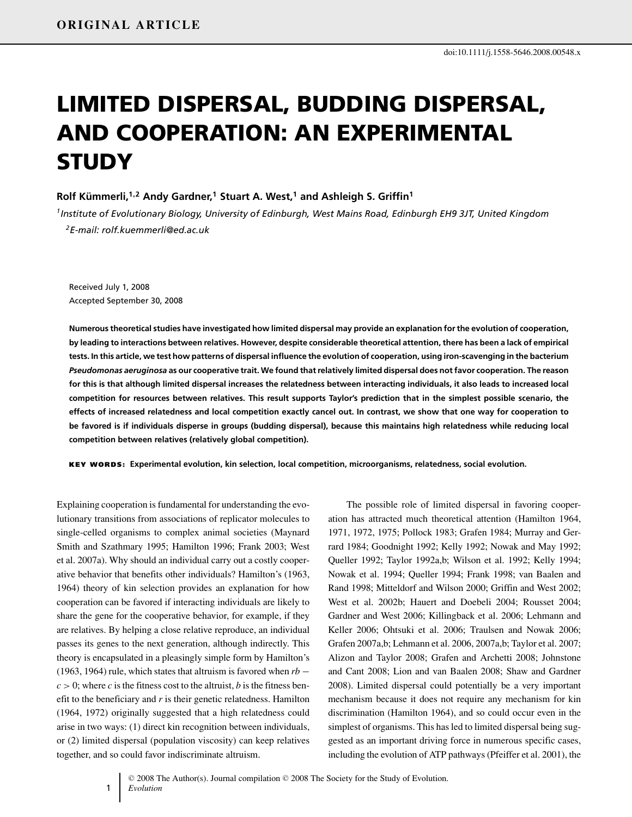# LIMITED DISPERSAL, BUDDING DISPERSAL, AND COOPERATION: AN EXPERIMENTAL **STUDY**

### **Rolf Kummerli, ¨ <sup>1</sup>,<sup>2</sup> Andy Gardner,<sup>1</sup> Stuart A. West,1 and Ashleigh S. Griffin1**

*1Institute of Evolutionary Biology, University of Edinburgh, West Mains Road, Edinburgh EH9 3JT, United Kingdom 2E-mail: rolf.kuemmerli@ed.ac.uk*

Received July 1, 2008 Accepted September 30, 2008

**Numerous theoretical studies have investigated how limited dispersal may provide an explanation for the evolution of cooperation, by leading to interactions between relatives. However, despite considerable theoretical attention, there has been a lack of empirical tests. In this article, we test how patterns of dispersal influence the evolution of cooperation, using iron-scavenging in the bacterium** *Pseudomonas aeruginosa* **as our cooperative trait. We found that relatively limited dispersal does not favor cooperation. The reason for this is that although limited dispersal increases the relatedness between interacting individuals, it also leads to increased local competition for resources between relatives. This result supports Taylor's prediction that in the simplest possible scenario, the effects of increased relatedness and local competition exactly cancel out. In contrast, we show that one way for cooperation to be favored is if individuals disperse in groups (budding dispersal), because this maintains high relatedness while reducing local competition between relatives (relatively global competition).**

KEY WORDS: **Experimental evolution, kin selection, local competition, microorganisms, relatedness, social evolution.**

Explaining cooperation is fundamental for understanding the evolutionary transitions from associations of replicator molecules to single-celled organisms to complex animal societies (Maynard Smith and Szathmary 1995; Hamilton 1996; Frank 2003; West et al. 2007a). Why should an individual carry out a costly cooperative behavior that benefits other individuals? Hamilton's (1963, 1964) theory of kin selection provides an explanation for how cooperation can be favored if interacting individuals are likely to share the gene for the cooperative behavior, for example, if they are relatives. By helping a close relative reproduce, an individual passes its genes to the next generation, although indirectly. This theory is encapsulated in a pleasingly simple form by Hamilton's (1963, 1964) rule, which states that altruism is favored when *rb* −  $c > 0$ ; where *c* is the fitness cost to the altruist, *b* is the fitness benefit to the beneficiary and *r* is their genetic relatedness. Hamilton (1964, 1972) originally suggested that a high relatedness could arise in two ways: (1) direct kin recognition between individuals, or (2) limited dispersal (population viscosity) can keep relatives together, and so could favor indiscriminate altruism.

1

The possible role of limited dispersal in favoring cooperation has attracted much theoretical attention (Hamilton 1964, 1971, 1972, 1975; Pollock 1983; Grafen 1984; Murray and Gerrard 1984; Goodnight 1992; Kelly 1992; Nowak and May 1992; Queller 1992; Taylor 1992a,b; Wilson et al. 1992; Kelly 1994; Nowak et al. 1994; Queller 1994; Frank 1998; van Baalen and Rand 1998; Mitteldorf and Wilson 2000; Griffin and West 2002; West et al. 2002b; Hauert and Doebeli 2004; Rousset 2004; Gardner and West 2006; Killingback et al. 2006; Lehmann and Keller 2006; Ohtsuki et al. 2006; Traulsen and Nowak 2006; Grafen 2007a,b; Lehmann et al. 2006, 2007a,b; Taylor et al. 2007; Alizon and Taylor 2008; Grafen and Archetti 2008; Johnstone and Cant 2008; Lion and van Baalen 2008; Shaw and Gardner 2008). Limited dispersal could potentially be a very important mechanism because it does not require any mechanism for kin discrimination (Hamilton 1964), and so could occur even in the simplest of organisms. This has led to limited dispersal being suggested as an important driving force in numerous specific cases, including the evolution of ATP pathways (Pfeiffer et al. 2001), the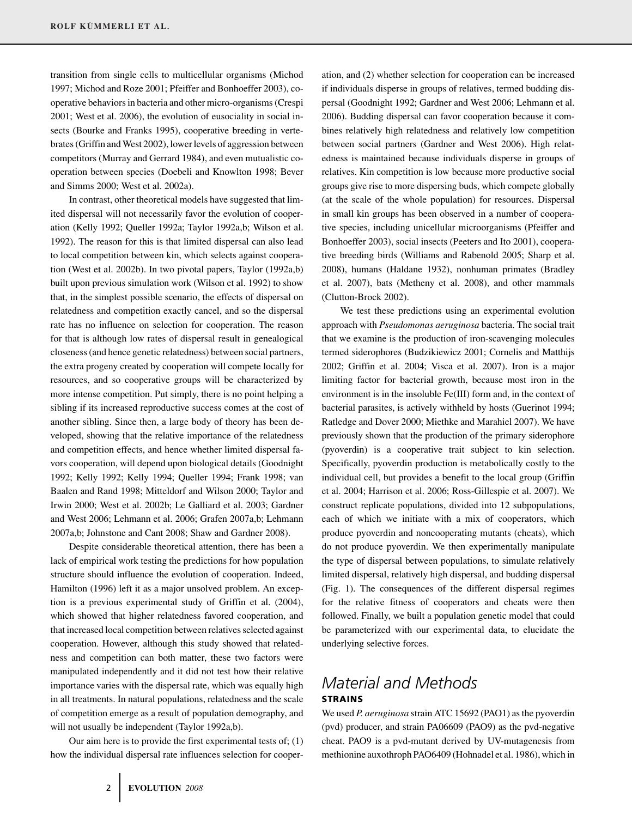transition from single cells to multicellular organisms (Michod 1997; Michod and Roze 2001; Pfeiffer and Bonhoeffer 2003), cooperative behaviors in bacteria and other micro-organisms (Crespi 2001; West et al. 2006), the evolution of eusociality in social insects (Bourke and Franks 1995), cooperative breeding in vertebrates (Griffin and West 2002), lower levels of aggression between competitors (Murray and Gerrard 1984), and even mutualistic cooperation between species (Doebeli and Knowlton 1998; Bever and Simms 2000; West et al. 2002a).

In contrast, other theoretical models have suggested that limited dispersal will not necessarily favor the evolution of cooperation (Kelly 1992; Queller 1992a; Taylor 1992a,b; Wilson et al. 1992). The reason for this is that limited dispersal can also lead to local competition between kin, which selects against cooperation (West et al. 2002b). In two pivotal papers, Taylor (1992a,b) built upon previous simulation work (Wilson et al. 1992) to show that, in the simplest possible scenario, the effects of dispersal on relatedness and competition exactly cancel, and so the dispersal rate has no influence on selection for cooperation. The reason for that is although low rates of dispersal result in genealogical closeness (and hence genetic relatedness) between social partners, the extra progeny created by cooperation will compete locally for resources, and so cooperative groups will be characterized by more intense competition. Put simply, there is no point helping a sibling if its increased reproductive success comes at the cost of another sibling. Since then, a large body of theory has been developed, showing that the relative importance of the relatedness and competition effects, and hence whether limited dispersal favors cooperation, will depend upon biological details (Goodnight 1992; Kelly 1992; Kelly 1994; Queller 1994; Frank 1998; van Baalen and Rand 1998; Mitteldorf and Wilson 2000; Taylor and Irwin 2000; West et al. 2002b; Le Galliard et al. 2003; Gardner and West 2006; Lehmann et al. 2006; Grafen 2007a,b; Lehmann 2007a,b; Johnstone and Cant 2008; Shaw and Gardner 2008).

Despite considerable theoretical attention, there has been a lack of empirical work testing the predictions for how population structure should influence the evolution of cooperation. Indeed, Hamilton (1996) left it as a major unsolved problem. An exception is a previous experimental study of Griffin et al. (2004), which showed that higher relatedness favored cooperation, and that increased local competition between relatives selected against cooperation. However, although this study showed that relatedness and competition can both matter, these two factors were manipulated independently and it did not test how their relative importance varies with the dispersal rate, which was equally high in all treatments. In natural populations, relatedness and the scale of competition emerge as a result of population demography, and will not usually be independent (Taylor 1992a,b).

Our aim here is to provide the first experimental tests of; (1) how the individual dispersal rate influences selection for cooper-

ation, and (2) whether selection for cooperation can be increased if individuals disperse in groups of relatives, termed budding dispersal (Goodnight 1992; Gardner and West 2006; Lehmann et al. 2006). Budding dispersal can favor cooperation because it combines relatively high relatedness and relatively low competition between social partners (Gardner and West 2006). High relatedness is maintained because individuals disperse in groups of relatives. Kin competition is low because more productive social groups give rise to more dispersing buds, which compete globally (at the scale of the whole population) for resources. Dispersal in small kin groups has been observed in a number of cooperative species, including unicellular microorganisms (Pfeiffer and Bonhoeffer 2003), social insects (Peeters and Ito 2001), cooperative breeding birds (Williams and Rabenold 2005; Sharp et al. 2008), humans (Haldane 1932), nonhuman primates (Bradley et al. 2007), bats (Metheny et al. 2008), and other mammals (Clutton-Brock 2002).

We test these predictions using an experimental evolution approach with *Pseudomonas aeruginosa* bacteria. The social trait that we examine is the production of iron-scavenging molecules termed siderophores (Budzikiewicz 2001; Cornelis and Matthijs 2002; Griffin et al. 2004; Visca et al. 2007). Iron is a major limiting factor for bacterial growth, because most iron in the environment is in the insoluble Fe(III) form and, in the context of bacterial parasites, is actively withheld by hosts (Guerinot 1994; Ratledge and Dover 2000; Miethke and Marahiel 2007). We have previously shown that the production of the primary siderophore (pyoverdin) is a cooperative trait subject to kin selection. Specifically, pyoverdin production is metabolically costly to the individual cell, but provides a benefit to the local group (Griffin et al. 2004; Harrison et al. 2006; Ross-Gillespie et al. 2007). We construct replicate populations, divided into 12 subpopulations, each of which we initiate with a mix of cooperators, which produce pyoverdin and noncooperating mutants (cheats), which do not produce pyoverdin. We then experimentally manipulate the type of dispersal between populations, to simulate relatively limited dispersal, relatively high dispersal, and budding dispersal (Fig. 1). The consequences of the different dispersal regimes for the relative fitness of cooperators and cheats were then followed. Finally, we built a population genetic model that could be parameterized with our experimental data, to elucidate the underlying selective forces.

# *Material and Methods* STRAINS

We used *P. aeruginosa* strain ATC 15692 (PAO1) as the pyoverdin (pvd) producer, and strain PA06609 (PAO9) as the pvd-negative cheat. PAO9 is a pvd-mutant derived by UV-mutagenesis from methionine auxothroph PAO6409 (Hohnadel et al. 1986), which in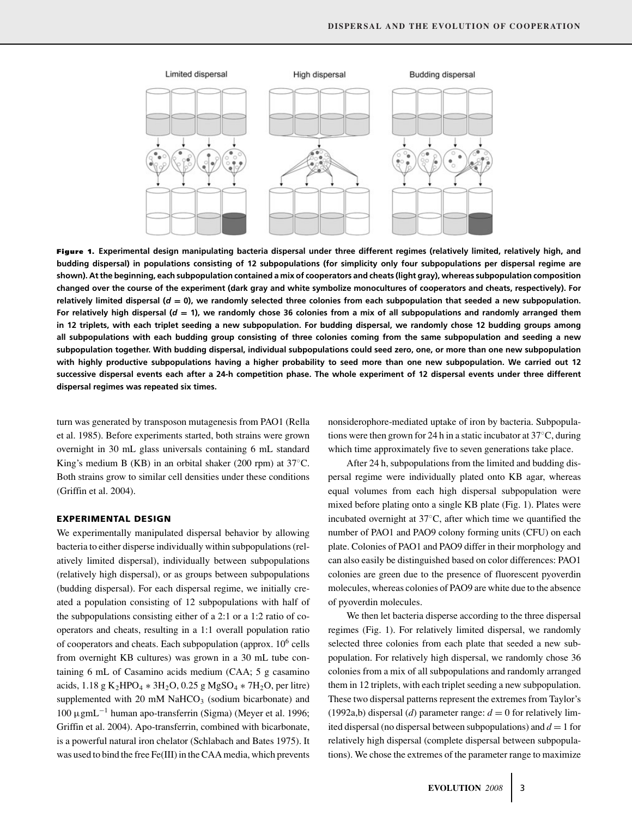

Figure 1. **Experimental design manipulating bacteria dispersal under three different regimes (relatively limited, relatively high, and budding dispersal) in populations consisting of 12 subpopulations (for simplicity only four subpopulations per dispersal regime are shown). At the beginning, each subpopulation contained a mix of cooperators and cheats (light gray), whereas subpopulation composition changed over the course of the experiment (dark gray and white symbolize monocultures of cooperators and cheats, respectively). For relatively limited dispersal (***d* **= 0), we randomly selected three colonies from each subpopulation that seeded a new subpopulation. For relatively high dispersal (***d* **= 1), we randomly chose 36 colonies from a mix of all subpopulations and randomly arranged them in 12 triplets, with each triplet seeding a new subpopulation. For budding dispersal, we randomly chose 12 budding groups among all subpopulations with each budding group consisting of three colonies coming from the same subpopulation and seeding a new subpopulation together. With budding dispersal, individual subpopulations could seed zero, one, or more than one new subpopulation with highly productive subpopulations having a higher probability to seed more than one new subpopulation. We carried out 12 successive dispersal events each after a 24-h competition phase. The whole experiment of 12 dispersal events under three different dispersal regimes was repeated six times.**

turn was generated by transposon mutagenesis from PAO1 (Rella et al. 1985). Before experiments started, both strains were grown overnight in 30 mL glass universals containing 6 mL standard King's medium B (KB) in an orbital shaker (200 rpm) at  $37^{\circ}$ C. Both strains grow to similar cell densities under these conditions (Griffin et al. 2004).

### EXPERIMENTAL DESIGN

We experimentally manipulated dispersal behavior by allowing bacteria to either disperse individually within subpopulations (relatively limited dispersal), individually between subpopulations (relatively high dispersal), or as groups between subpopulations (budding dispersal). For each dispersal regime, we initially created a population consisting of 12 subpopulations with half of the subpopulations consisting either of a 2:1 or a 1:2 ratio of cooperators and cheats, resulting in a 1:1 overall population ratio of cooperators and cheats. Each subpopulation (approx.  $10<sup>6</sup>$  cells from overnight KB cultures) was grown in a 30 mL tube containing 6 mL of Casamino acids medium (CAA; 5 g casamino acids,  $1.18 \text{ g } K_2 \text{HPO}_4 * 3H_2 \text{O}, 0.25 \text{ g } Mg\text{SO}_4 * 7H_2 \text{O}, \text{per litre)}$ supplemented with 20 mM  $NaHCO<sub>3</sub>$  (sodium bicarbonate) and 100 μgmL−<sup>1</sup> human apo-transferrin (Sigma) (Meyer et al. 1996; Griffin et al. 2004). Apo-transferrin, combined with bicarbonate, is a powerful natural iron chelator (Schlabach and Bates 1975). It was used to bind the free Fe(III) in the CAA media, which prevents

nonsiderophore-mediated uptake of iron by bacteria. Subpopulations were then grown for 24 h in a static incubator at 37◦C, during which time approximately five to seven generations take place.

After 24 h, subpopulations from the limited and budding dispersal regime were individually plated onto KB agar, whereas equal volumes from each high dispersal subpopulation were mixed before plating onto a single KB plate (Fig. 1). Plates were incubated overnight at 37◦C, after which time we quantified the number of PAO1 and PAO9 colony forming units (CFU) on each plate. Colonies of PAO1 and PAO9 differ in their morphology and can also easily be distinguished based on color differences: PAO1 colonies are green due to the presence of fluorescent pyoverdin molecules, whereas colonies of PAO9 are white due to the absence of pyoverdin molecules.

We then let bacteria disperse according to the three dispersal regimes (Fig. 1). For relatively limited dispersal, we randomly selected three colonies from each plate that seeded a new subpopulation. For relatively high dispersal, we randomly chose 36 colonies from a mix of all subpopulations and randomly arranged them in 12 triplets, with each triplet seeding a new subpopulation. These two dispersal patterns represent the extremes from Taylor's (1992a,b) dispersal (*d*) parameter range:  $d = 0$  for relatively limited dispersal (no dispersal between subpopulations) and  $d = 1$  for relatively high dispersal (complete dispersal between subpopulations). We chose the extremes of the parameter range to maximize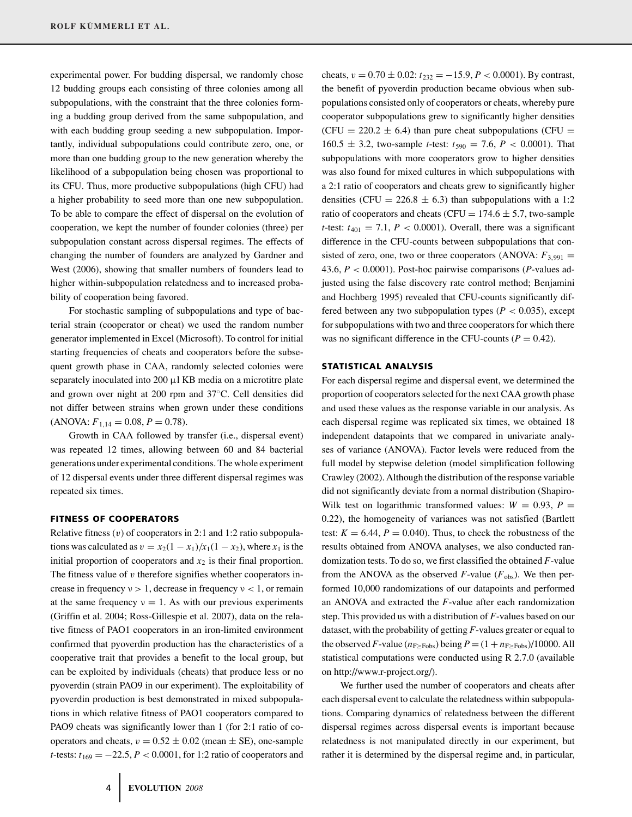experimental power. For budding dispersal, we randomly chose 12 budding groups each consisting of three colonies among all subpopulations, with the constraint that the three colonies forming a budding group derived from the same subpopulation, and with each budding group seeding a new subpopulation. Importantly, individual subpopulations could contribute zero, one, or more than one budding group to the new generation whereby the likelihood of a subpopulation being chosen was proportional to its CFU. Thus, more productive subpopulations (high CFU) had a higher probability to seed more than one new subpopulation. To be able to compare the effect of dispersal on the evolution of cooperation, we kept the number of founder colonies (three) per subpopulation constant across dispersal regimes. The effects of changing the number of founders are analyzed by Gardner and West (2006), showing that smaller numbers of founders lead to higher within-subpopulation relatedness and to increased probability of cooperation being favored.

For stochastic sampling of subpopulations and type of bacterial strain (cooperator or cheat) we used the random number generator implemented in Excel (Microsoft). To control for initial starting frequencies of cheats and cooperators before the subsequent growth phase in CAA, randomly selected colonies were separately inoculated into 200 μl KB media on a microtitre plate and grown over night at 200 rpm and 37◦C. Cell densities did not differ between strains when grown under these conditions  $(ANOVA: F<sub>1,14</sub> = 0.08, P = 0.78).$ 

Growth in CAA followed by transfer (i.e., dispersal event) was repeated 12 times, allowing between 60 and 84 bacterial generations under experimental conditions. The whole experiment of 12 dispersal events under three different dispersal regimes was repeated six times.

### FITNESS OF COOPERATORS

Relative fitness  $(v)$  of cooperators in 2:1 and 1:2 ratio subpopulations was calculated as  $v = x_2(1 - x_1)/x_1(1 - x_2)$ , where  $x_1$  is the initial proportion of cooperators and  $x_2$  is their final proportion. The fitness value of v therefore signifies whether cooperators increase in frequency  $v > 1$ , decrease in frequency  $v < 1$ , or remain at the same frequency  $v = 1$ . As with our previous experiments (Griffin et al. 2004; Ross-Gillespie et al. 2007), data on the relative fitness of PAO1 cooperators in an iron-limited environment confirmed that pyoverdin production has the characteristics of a cooperative trait that provides a benefit to the local group, but can be exploited by individuals (cheats) that produce less or no pyoverdin (strain PAO9 in our experiment). The exploitability of pyoverdin production is best demonstrated in mixed subpopulations in which relative fitness of PAO1 cooperators compared to PAO9 cheats was significantly lower than 1 (for 2:1 ratio of cooperators and cheats,  $v = 0.52 \pm 0.02$  (mean  $\pm$  SE), one-sample *t*-tests:  $t_{169} = -22.5, P < 0.0001$ , for 1:2 ratio of cooperators and

cheats,  $v = 0.70 \pm 0.02$ :  $t_{232} = -15.9$ ,  $P < 0.0001$ ). By contrast, the benefit of pyoverdin production became obvious when subpopulations consisted only of cooperators or cheats, whereby pure cooperator subpopulations grew to significantly higher densities  $(CFU = 220.2 \pm 6.4)$  than pure cheat subpopulations  $(CFU =$  $160.5 \pm 3.2$ , two-sample *t*-test:  $t_{590} = 7.6$ ,  $P < 0.0001$ ). That subpopulations with more cooperators grow to higher densities was also found for mixed cultures in which subpopulations with a 2:1 ratio of cooperators and cheats grew to significantly higher densities (CFU =  $226.8 \pm 6.3$ ) than subpopulations with a 1:2 ratio of cooperators and cheats (CFU =  $174.6 \pm 5.7$ , two-sample *t*-test:  $t_{401} = 7.1$ ,  $P < 0.0001$ ). Overall, there was a significant difference in the CFU-counts between subpopulations that consisted of zero, one, two or three cooperators (ANOVA:  $F_{3,991} =$ 43.6, *P* < 0.0001). Post-hoc pairwise comparisons (*P*-values adjusted using the false discovery rate control method; Benjamini and Hochberg 1995) revealed that CFU-counts significantly differed between any two subpopulation types ( $P < 0.035$ ), except for subpopulations with two and three cooperators for which there was no significant difference in the CFU-counts  $(P = 0.42)$ .

#### STATISTICAL ANALYSIS

For each dispersal regime and dispersal event, we determined the proportion of cooperators selected for the next CAA growth phase and used these values as the response variable in our analysis. As each dispersal regime was replicated six times, we obtained 18 independent datapoints that we compared in univariate analyses of variance (ANOVA). Factor levels were reduced from the full model by stepwise deletion (model simplification following Crawley (2002). Although the distribution of the response variable did not significantly deviate from a normal distribution (Shapiro-Wilk test on logarithmic transformed values:  $W = 0.93$ ,  $P =$ 0.22), the homogeneity of variances was not satisfied (Bartlett test:  $K = 6.44$ ,  $P = 0.040$ . Thus, to check the robustness of the results obtained from ANOVA analyses, we also conducted randomization tests. To do so, we first classified the obtained *F*-value from the ANOVA as the observed  $F$ -value ( $F_{obs}$ ). We then performed 10,000 randomizations of our datapoints and performed an ANOVA and extracted the *F*-value after each randomization step. This provided us with a distribution of *F*-values based on our dataset, with the probability of getting *F*-values greater or equal to the observed *F*-value ( $n_{F>Fobs}$ ) being  $P = (1 + n_{F>Fobs})/10000$ . All statistical computations were conducted using R 2.7.0 (available on http://www.r-project.org/).

We further used the number of cooperators and cheats after each dispersal event to calculate the relatedness within subpopulations. Comparing dynamics of relatedness between the different dispersal regimes across dispersal events is important because relatedness is not manipulated directly in our experiment, but rather it is determined by the dispersal regime and, in particular,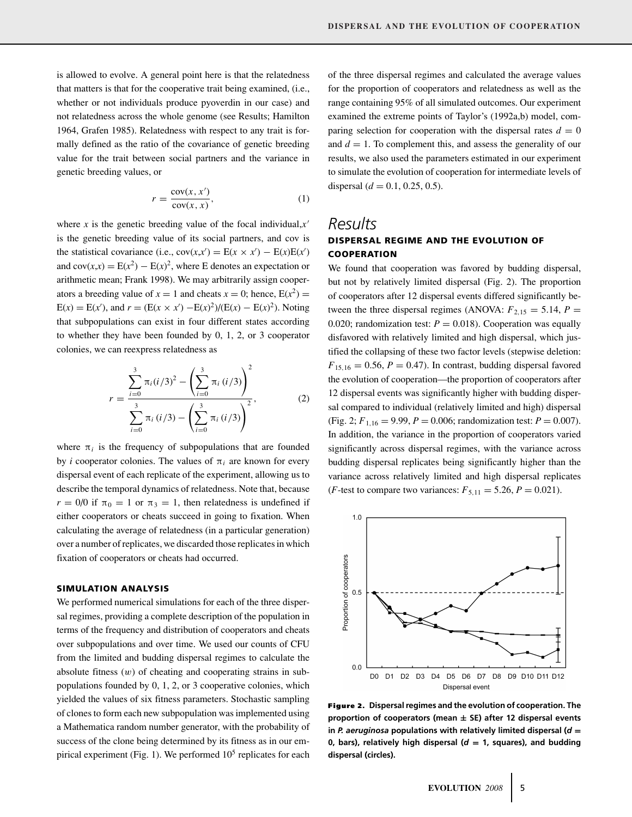is allowed to evolve. A general point here is that the relatedness that matters is that for the cooperative trait being examined, (i.e., whether or not individuals produce pyoverdin in our case) and not relatedness across the whole genome (see Results; Hamilton 1964, Grafen 1985). Relatedness with respect to any trait is formally defined as the ratio of the covariance of genetic breeding value for the trait between social partners and the variance in genetic breeding values, or

$$
r = \frac{\text{cov}(x, x')}{\text{cov}(x, x)},\tag{1}
$$

where *x* is the genetic breeding value of the focal individual, $x'$ is the genetic breeding value of its social partners, and cov is the statistical covariance (i.e.,  $cov(x,x') = E(x \times x') - E(x)E(x')$ and  $cov(x,x) = E(x^2) - E(x)^2$ , where E denotes an expectation or arithmetic mean; Frank 1998). We may arbitrarily assign cooperators a breeding value of  $x = 1$  and cheats  $x = 0$ ; hence,  $E(x^2) =$  $E(x) = E(x')$ , and  $r = (E(x \times x') - E(x)^2) / (E(x) - E(x)^2)$ . Noting that subpopulations can exist in four different states according to whether they have been founded by 0, 1, 2, or 3 cooperator colonies, we can reexpress relatedness as

$$
r = \frac{\sum_{i=0}^{3} \pi_i (i/3)^2 - \left(\sum_{i=0}^{3} \pi_i (i/3)\right)^2}{\sum_{i=0}^{3} \pi_i (i/3) - \left(\sum_{i=0}^{3} \pi_i (i/3)\right)^2},
$$
(2)

where  $\pi_i$  is the frequency of subpopulations that are founded by *i* cooperator colonies. The values of  $\pi$ <sup>*i*</sup> are known for every dispersal event of each replicate of the experiment, allowing us to describe the temporal dynamics of relatedness. Note that, because  $r = 0/0$  if  $\pi_0 = 1$  or  $\pi_3 = 1$ , then relatedness is undefined if either cooperators or cheats succeed in going to fixation. When calculating the average of relatedness (in a particular generation) over a number of replicates, we discarded those replicates in which fixation of cooperators or cheats had occurred.

#### SIMULATION ANALYSIS

We performed numerical simulations for each of the three dispersal regimes, providing a complete description of the population in terms of the frequency and distribution of cooperators and cheats over subpopulations and over time. We used our counts of CFU from the limited and budding dispersal regimes to calculate the absolute fitness  $(w)$  of cheating and cooperating strains in subpopulations founded by 0, 1, 2, or 3 cooperative colonies, which yielded the values of six fitness parameters. Stochastic sampling of clones to form each new subpopulation was implemented using a Mathematica random number generator, with the probability of success of the clone being determined by its fitness as in our empirical experiment (Fig. 1). We performed  $10<sup>5</sup>$  replicates for each

of the three dispersal regimes and calculated the average values for the proportion of cooperators and relatedness as well as the range containing 95% of all simulated outcomes. Our experiment examined the extreme points of Taylor's (1992a,b) model, comparing selection for cooperation with the dispersal rates  $d = 0$ and  $d = 1$ . To complement this, and assess the generality of our results, we also used the parameters estimated in our experiment to simulate the evolution of cooperation for intermediate levels of dispersal ( $d = 0.1, 0.25, 0.5$ ).

# *Results* DISPERSAL REGIME AND THE EVOLUTION OF **COOPERATION**

We found that cooperation was favored by budding dispersal, but not by relatively limited dispersal (Fig. 2). The proportion of cooperators after 12 dispersal events differed significantly between the three dispersal regimes (ANOVA:  $F_{2,15} = 5.14$ ,  $P =$ 0.020; randomization test:  $P = 0.018$ ). Cooperation was equally disfavored with relatively limited and high dispersal, which justified the collapsing of these two factor levels (stepwise deletion:  $F_{15,16} = 0.56, P = 0.47$ . In contrast, budding dispersal favored the evolution of cooperation—the proportion of cooperators after 12 dispersal events was significantly higher with budding dispersal compared to individual (relatively limited and high) dispersal (Fig. 2;  $F_{1,16} = 9.99$ ,  $P = 0.006$ ; randomization test:  $P = 0.007$ ). In addition, the variance in the proportion of cooperators varied significantly across dispersal regimes, with the variance across budding dispersal replicates being significantly higher than the variance across relatively limited and high dispersal replicates (*F*-test to compare two variances:  $F_{5,11} = 5.26, P = 0.021$ ).



Figure 2. **Dispersal regimes and the evolution of cooperation. The proportion of cooperators (mean ± SE) after 12 dispersal events in** *P. aeruginosa* **populations with relatively limited dispersal (***d* **= 0, bars), relatively high dispersal (***d* **= 1, squares), and budding dispersal (circles).**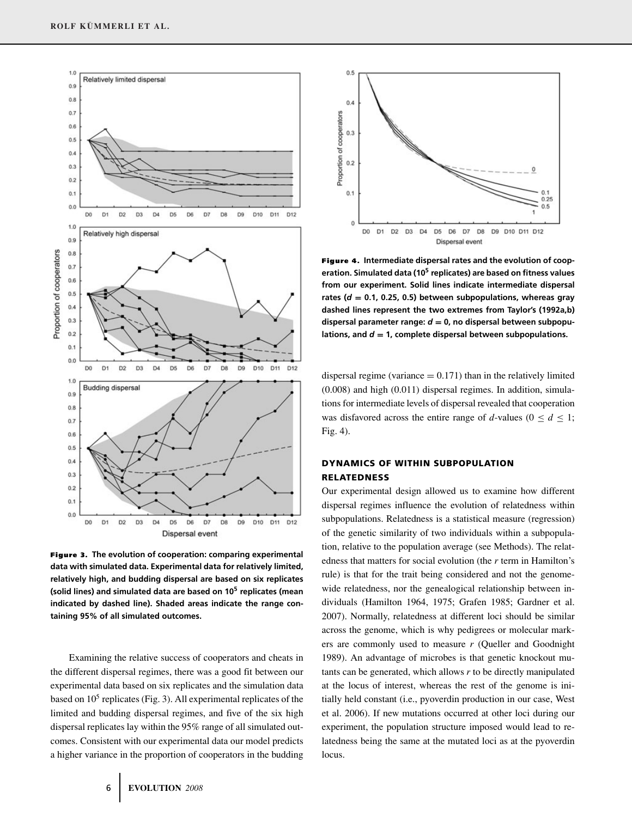

Figure 3. **The evolution of cooperation: comparing experimental data with simulated data. Experimental data for relatively limited, relatively high, and budding dispersal are based on six replicates (solid lines) and simulated data are based on 10<sup>5</sup> replicates (mean indicated by dashed line). Shaded areas indicate the range containing 95% of all simulated outcomes.**

Examining the relative success of cooperators and cheats in the different dispersal regimes, there was a good fit between our experimental data based on six replicates and the simulation data based on  $10<sup>5</sup>$  replicates (Fig. 3). All experimental replicates of the limited and budding dispersal regimes, and five of the six high dispersal replicates lay within the 95% range of all simulated outcomes. Consistent with our experimental data our model predicts a higher variance in the proportion of cooperators in the budding



 $0.5$ 

Figure 4. **Intermediate dispersal rates and the evolution of cooperation. Simulated data (105 replicates) are based on fitness values from our experiment. Solid lines indicate intermediate dispersal rates (***d* **= 0.1, 0.25, 0.5) between subpopulations, whereas gray dashed lines represent the two extremes from Taylor's (1992a,b) dispersal parameter range:** *d* **= 0, no dispersal between subpopulations, and** *d* **= 1, complete dispersal between subpopulations.**

dispersal regime (variance  $= 0.171$ ) than in the relatively limited (0.008) and high (0.011) dispersal regimes. In addition, simulations for intermediate levels of dispersal revealed that cooperation was disfavored across the entire range of *d*-values ( $0 \le d \le 1$ ; Fig. 4).

## DYNAMICS OF WITHIN SUBPOPULATION RELATEDNESS

Our experimental design allowed us to examine how different dispersal regimes influence the evolution of relatedness within subpopulations. Relatedness is a statistical measure (regression) of the genetic similarity of two individuals within a subpopulation, relative to the population average (see Methods). The relatedness that matters for social evolution (the *r* term in Hamilton's rule) is that for the trait being considered and not the genomewide relatedness, nor the genealogical relationship between individuals (Hamilton 1964, 1975; Grafen 1985; Gardner et al. 2007). Normally, relatedness at different loci should be similar across the genome, which is why pedigrees or molecular markers are commonly used to measure *r* (Queller and Goodnight 1989). An advantage of microbes is that genetic knockout mutants can be generated, which allows *r* to be directly manipulated at the locus of interest, whereas the rest of the genome is initially held constant (i.e., pyoverdin production in our case, West et al. 2006). If new mutations occurred at other loci during our experiment, the population structure imposed would lead to relatedness being the same at the mutated loci as at the pyoverdin locus.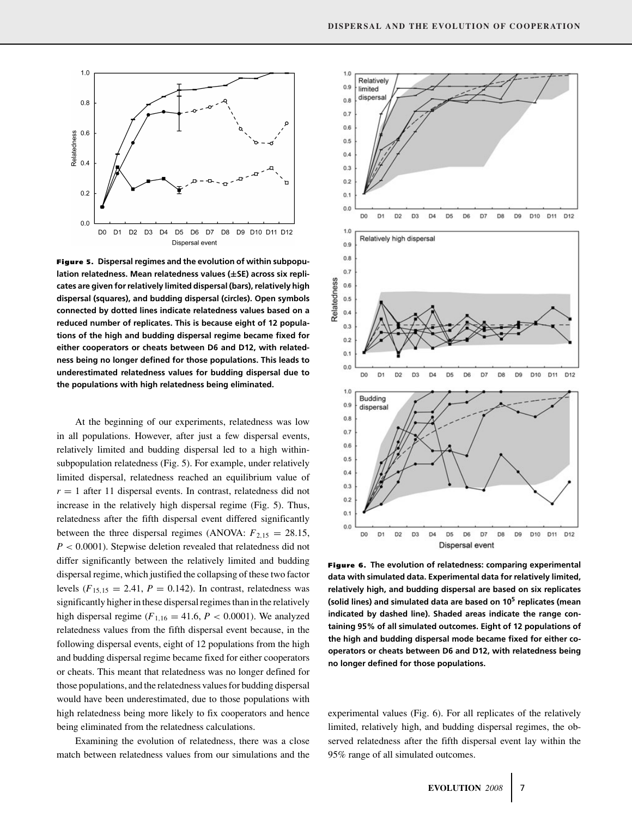

Figure 5. **Dispersal regimes and the evolution of within subpopulation relatedness. Mean relatedness values (±SE) across six replicates are given for relatively limited dispersal (bars), relatively high dispersal (squares), and budding dispersal (circles). Open symbols connected by dotted lines indicate relatedness values based on a reduced number of replicates. This is because eight of 12 populations of the high and budding dispersal regime became fixed for either cooperators or cheats between D6 and D12, with relatedness being no longer defined for those populations. This leads to underestimated relatedness values for budding dispersal due to the populations with high relatedness being eliminated.**

At the beginning of our experiments, relatedness was low in all populations. However, after just a few dispersal events, relatively limited and budding dispersal led to a high withinsubpopulation relatedness (Fig. 5). For example, under relatively limited dispersal, relatedness reached an equilibrium value of  $r = 1$  after 11 dispersal events. In contrast, relatedness did not increase in the relatively high dispersal regime (Fig. 5). Thus, relatedness after the fifth dispersal event differed significantly between the three dispersal regimes (ANOVA:  $F_{2,15} = 28.15$ , *P* < 0.0001). Stepwise deletion revealed that relatedness did not differ significantly between the relatively limited and budding dispersal regime, which justified the collapsing of these two factor levels  $(F_{15,15} = 2.41, P = 0.142)$ . In contrast, relatedness was significantly higher in these dispersal regimes than in the relatively high dispersal regime ( $F_{1,16} = 41.6$ ,  $P < 0.0001$ ). We analyzed relatedness values from the fifth dispersal event because, in the following dispersal events, eight of 12 populations from the high and budding dispersal regime became fixed for either cooperators or cheats. This meant that relatedness was no longer defined for those populations, and the relatedness values for budding dispersal would have been underestimated, due to those populations with high relatedness being more likely to fix cooperators and hence being eliminated from the relatedness calculations.

Examining the evolution of relatedness, there was a close match between relatedness values from our simulations and the



Figure 6. **The evolution of relatedness: comparing experimental data with simulated data. Experimental data for relatively limited, relatively high, and budding dispersal are based on six replicates (solid lines) and simulated data are based on 10<sup>5</sup> replicates (mean indicated by dashed line). Shaded areas indicate the range containing 95% of all simulated outcomes. Eight of 12 populations of the high and budding dispersal mode became fixed for either cooperators or cheats between D6 and D12, with relatedness being no longer defined for those populations.**

experimental values (Fig. 6). For all replicates of the relatively limited, relatively high, and budding dispersal regimes, the observed relatedness after the fifth dispersal event lay within the 95% range of all simulated outcomes.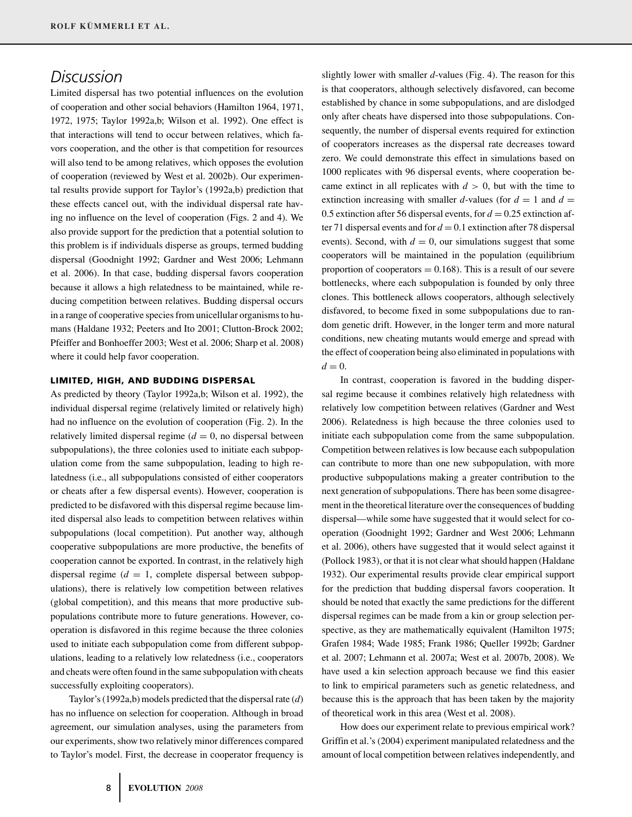# *Discussion*

Limited dispersal has two potential influences on the evolution of cooperation and other social behaviors (Hamilton 1964, 1971, 1972, 1975; Taylor 1992a,b; Wilson et al. 1992). One effect is that interactions will tend to occur between relatives, which favors cooperation, and the other is that competition for resources will also tend to be among relatives, which opposes the evolution of cooperation (reviewed by West et al. 2002b). Our experimental results provide support for Taylor's (1992a,b) prediction that these effects cancel out, with the individual dispersal rate having no influence on the level of cooperation (Figs. 2 and 4). We also provide support for the prediction that a potential solution to this problem is if individuals disperse as groups, termed budding dispersal (Goodnight 1992; Gardner and West 2006; Lehmann et al. 2006). In that case, budding dispersal favors cooperation because it allows a high relatedness to be maintained, while reducing competition between relatives. Budding dispersal occurs in a range of cooperative species from unicellular organisms to humans (Haldane 1932; Peeters and Ito 2001; Clutton-Brock 2002; Pfeiffer and Bonhoeffer 2003; West et al. 2006; Sharp et al. 2008) where it could help favor cooperation.

### LIMITED, HIGH, AND BUDDING DISPERSAL

As predicted by theory (Taylor 1992a,b; Wilson et al. 1992), the individual dispersal regime (relatively limited or relatively high) had no influence on the evolution of cooperation (Fig. 2). In the relatively limited dispersal regime  $(d = 0,$  no dispersal between subpopulations), the three colonies used to initiate each subpopulation come from the same subpopulation, leading to high relatedness (i.e., all subpopulations consisted of either cooperators or cheats after a few dispersal events). However, cooperation is predicted to be disfavored with this dispersal regime because limited dispersal also leads to competition between relatives within subpopulations (local competition). Put another way, although cooperative subpopulations are more productive, the benefits of cooperation cannot be exported. In contrast, in the relatively high dispersal regime  $(d = 1$ , complete dispersal between subpopulations), there is relatively low competition between relatives (global competition), and this means that more productive subpopulations contribute more to future generations. However, cooperation is disfavored in this regime because the three colonies used to initiate each subpopulation come from different subpopulations, leading to a relatively low relatedness (i.e., cooperators and cheats were often found in the same subpopulation with cheats successfully exploiting cooperators).

Taylor's (1992a,b) models predicted that the dispersal rate (*d*) has no influence on selection for cooperation. Although in broad agreement, our simulation analyses, using the parameters from our experiments, show two relatively minor differences compared to Taylor's model. First, the decrease in cooperator frequency is

slightly lower with smaller *d*-values (Fig. 4). The reason for this is that cooperators, although selectively disfavored, can become established by chance in some subpopulations, and are dislodged only after cheats have dispersed into those subpopulations. Consequently, the number of dispersal events required for extinction of cooperators increases as the dispersal rate decreases toward zero. We could demonstrate this effect in simulations based on 1000 replicates with 96 dispersal events, where cooperation became extinct in all replicates with  $d > 0$ , but with the time to extinction increasing with smaller *d*-values (for  $d = 1$  and  $d =$ 0.5 extinction after 56 dispersal events, for  $d = 0.25$  extinction after 71 dispersal events and for  $d = 0.1$  extinction after 78 dispersal events). Second, with  $d = 0$ , our simulations suggest that some cooperators will be maintained in the population (equilibrium proportion of cooperators  $= 0.168$ . This is a result of our severe bottlenecks, where each subpopulation is founded by only three clones. This bottleneck allows cooperators, although selectively disfavored, to become fixed in some subpopulations due to random genetic drift. However, in the longer term and more natural conditions, new cheating mutants would emerge and spread with the effect of cooperation being also eliminated in populations with  $d = 0$ .

In contrast, cooperation is favored in the budding dispersal regime because it combines relatively high relatedness with relatively low competition between relatives (Gardner and West 2006). Relatedness is high because the three colonies used to initiate each subpopulation come from the same subpopulation. Competition between relatives is low because each subpopulation can contribute to more than one new subpopulation, with more productive subpopulations making a greater contribution to the next generation of subpopulations. There has been some disagreement in the theoretical literature over the consequences of budding dispersal—while some have suggested that it would select for cooperation (Goodnight 1992; Gardner and West 2006; Lehmann et al. 2006), others have suggested that it would select against it (Pollock 1983), or that it is not clear what should happen (Haldane 1932). Our experimental results provide clear empirical support for the prediction that budding dispersal favors cooperation. It should be noted that exactly the same predictions for the different dispersal regimes can be made from a kin or group selection perspective, as they are mathematically equivalent (Hamilton 1975; Grafen 1984; Wade 1985; Frank 1986; Queller 1992b; Gardner et al. 2007; Lehmann et al. 2007a; West et al. 2007b, 2008). We have used a kin selection approach because we find this easier to link to empirical parameters such as genetic relatedness, and because this is the approach that has been taken by the majority of theoretical work in this area (West et al. 2008).

How does our experiment relate to previous empirical work? Griffin et al.'s (2004) experiment manipulated relatedness and the amount of local competition between relatives independently, and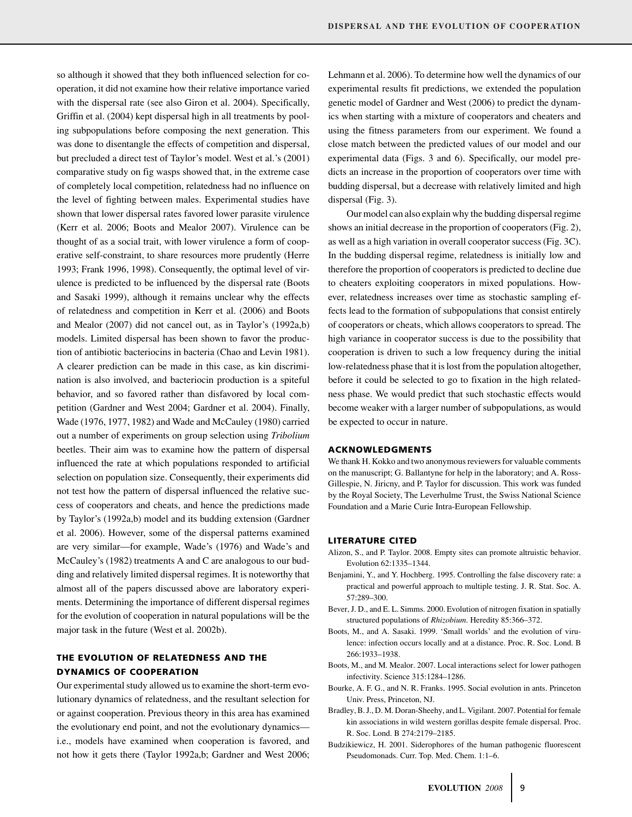so although it showed that they both influenced selection for cooperation, it did not examine how their relative importance varied with the dispersal rate (see also Giron et al. 2004). Specifically, Griffin et al. (2004) kept dispersal high in all treatments by pooling subpopulations before composing the next generation. This was done to disentangle the effects of competition and dispersal, but precluded a direct test of Taylor's model. West et al.'s (2001) comparative study on fig wasps showed that, in the extreme case of completely local competition, relatedness had no influence on the level of fighting between males. Experimental studies have shown that lower dispersal rates favored lower parasite virulence (Kerr et al. 2006; Boots and Mealor 2007). Virulence can be thought of as a social trait, with lower virulence a form of cooperative self-constraint, to share resources more prudently (Herre 1993; Frank 1996, 1998). Consequently, the optimal level of virulence is predicted to be influenced by the dispersal rate (Boots and Sasaki 1999), although it remains unclear why the effects of relatedness and competition in Kerr et al. (2006) and Boots and Mealor (2007) did not cancel out, as in Taylor's (1992a,b) models. Limited dispersal has been shown to favor the production of antibiotic bacteriocins in bacteria (Chao and Levin 1981). A clearer prediction can be made in this case, as kin discrimination is also involved, and bacteriocin production is a spiteful behavior, and so favored rather than disfavored by local competition (Gardner and West 2004; Gardner et al. 2004). Finally, Wade (1976, 1977, 1982) and Wade and McCauley (1980) carried out a number of experiments on group selection using *Tribolium* beetles. Their aim was to examine how the pattern of dispersal influenced the rate at which populations responded to artificial selection on population size. Consequently, their experiments did not test how the pattern of dispersal influenced the relative success of cooperators and cheats, and hence the predictions made by Taylor's (1992a,b) model and its budding extension (Gardner et al. 2006). However, some of the dispersal patterns examined are very similar—for example, Wade's (1976) and Wade's and McCauley's (1982) treatments A and C are analogous to our budding and relatively limited dispersal regimes. It is noteworthy that almost all of the papers discussed above are laboratory experiments. Determining the importance of different dispersal regimes for the evolution of cooperation in natural populations will be the major task in the future (West et al. 2002b).

### THE EVOLUTION OF RELATEDNESS AND THE DYNAMICS OF COOPERATION

Our experimental study allowed us to examine the short-term evolutionary dynamics of relatedness, and the resultant selection for or against cooperation. Previous theory in this area has examined the evolutionary end point, and not the evolutionary dynamics i.e., models have examined when cooperation is favored, and not how it gets there (Taylor 1992a,b; Gardner and West 2006;

Lehmann et al. 2006). To determine how well the dynamics of our experimental results fit predictions, we extended the population genetic model of Gardner and West (2006) to predict the dynamics when starting with a mixture of cooperators and cheaters and using the fitness parameters from our experiment. We found a close match between the predicted values of our model and our experimental data (Figs. 3 and 6). Specifically, our model predicts an increase in the proportion of cooperators over time with budding dispersal, but a decrease with relatively limited and high dispersal (Fig. 3).

Our model can also explain why the budding dispersal regime shows an initial decrease in the proportion of cooperators (Fig. 2), as well as a high variation in overall cooperator success (Fig. 3C). In the budding dispersal regime, relatedness is initially low and therefore the proportion of cooperators is predicted to decline due to cheaters exploiting cooperators in mixed populations. However, relatedness increases over time as stochastic sampling effects lead to the formation of subpopulations that consist entirely of cooperators or cheats, which allows cooperators to spread. The high variance in cooperator success is due to the possibility that cooperation is driven to such a low frequency during the initial low-relatedness phase that it is lost from the population altogether, before it could be selected to go to fixation in the high relatedness phase. We would predict that such stochastic effects would become weaker with a larger number of subpopulations, as would be expected to occur in nature.

### ACKNOWLEDGMENTS

We thank H. Kokko and two anonymous reviewers for valuable comments on the manuscript; G. Ballantyne for help in the laboratory; and A. Ross-Gillespie, N. Jiricny, and P. Taylor for discussion. This work was funded by the Royal Society, The Leverhulme Trust, the Swiss National Science Foundation and a Marie Curie Intra-European Fellowship.

#### LITERATURE CITED

- Alizon, S., and P. Taylor. 2008. Empty sites can promote altruistic behavior. Evolution 62:1335–1344.
- Benjamini, Y., and Y. Hochberg. 1995. Controlling the false discovery rate: a practical and powerful approach to multiple testing. J. R. Stat. Soc. A. 57:289–300.
- Bever, J. D., and E. L. Simms. 2000. Evolution of nitrogen fixation in spatially structured populations of *Rhizobium*. Heredity 85:366–372.
- Boots, M., and A. Sasaki. 1999. 'Small worlds' and the evolution of virulence: infection occurs locally and at a distance. Proc. R. Soc. Lond. B 266:1933–1938.
- Boots, M., and M. Mealor. 2007. Local interactions select for lower pathogen infectivity. Science 315:1284–1286.
- Bourke, A. F. G., and N. R. Franks. 1995. Social evolution in ants. Princeton Univ. Press, Princeton, NJ.
- Bradley, B. J., D. M. Doran-Sheehy, and L. Vigilant. 2007. Potential for female kin associations in wild western gorillas despite female dispersal. Proc. R. Soc. Lond. B 274:2179–2185.
- Budzikiewicz, H. 2001. Siderophores of the human pathogenic fluorescent Pseudomonads. Curr. Top. Med. Chem. 1:1–6.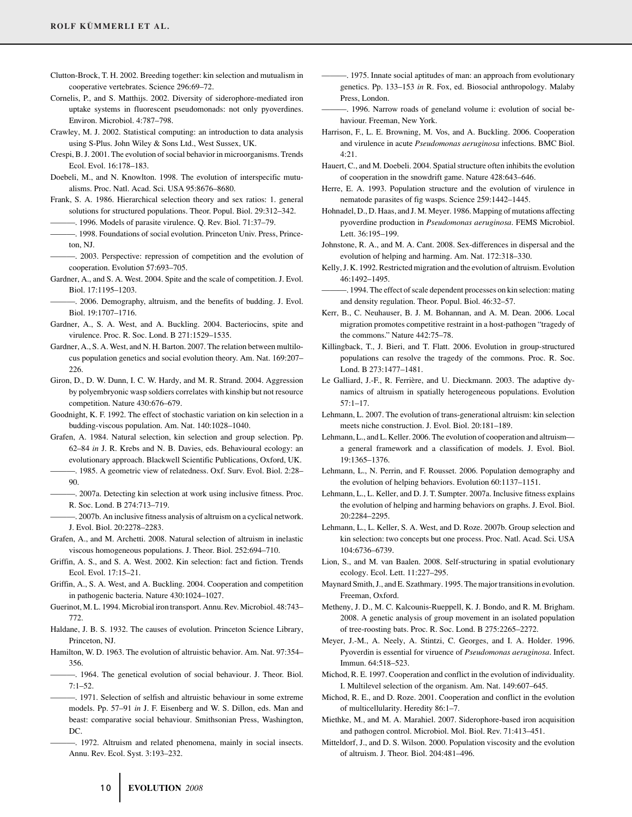- Clutton-Brock, T. H. 2002. Breeding together: kin selection and mutualism in cooperative vertebrates. Science 296:69–72.
- Cornelis, P., and S. Matthijs. 2002. Diversity of siderophore-mediated iron uptake systems in fluorescent pseudomonads: not only pyoverdines. Environ. Microbiol. 4:787–798.
- Crawley, M. J. 2002. Statistical computing: an introduction to data analysis using S-Plus. John Wiley & Sons Ltd., West Sussex, UK.
- Crespi, B. J. 2001. The evolution of social behavior in microorganisms. Trends Ecol. Evol. 16:178–183.
- Doebeli, M., and N. Knowlton. 1998. The evolution of interspecific mutualisms. Proc. Natl. Acad. Sci. USA 95:8676–8680.
- Frank, S. A. 1986. Hierarchical selection theory and sex ratios: 1. general solutions for structured populations. Theor. Popul. Biol. 29:312–342.
- ———. 1996. Models of parasite virulence. Q. Rev. Biol. 71:37–79.
- ———. 1998. Foundations of social evolution. Princeton Univ. Press, Princeton, NJ.
- ———. 2003. Perspective: repression of competition and the evolution of cooperation. Evolution 57:693–705.
- Gardner, A., and S. A. West. 2004. Spite and the scale of competition. J. Evol. Biol. 17:1195–1203.

———. 2006. Demography, altruism, and the benefits of budding. J. Evol. Biol. 19:1707–1716.

- Gardner, A., S. A. West, and A. Buckling. 2004. Bacteriocins, spite and virulence. Proc. R. Soc. Lond. B 271:1529–1535.
- Gardner, A., S. A. West, and N. H. Barton. 2007. The relation between multilocus population genetics and social evolution theory. Am. Nat. 169:207– 226.
- Giron, D., D. W. Dunn, I. C. W. Hardy, and M. R. Strand. 2004. Aggression by polyembryonic wasp soldiers correlates with kinship but not resource competition. Nature 430:676–679.
- Goodnight, K. F. 1992. The effect of stochastic variation on kin selection in a budding-viscous population. Am. Nat. 140:1028–1040.
- Grafen, A. 1984. Natural selection, kin selection and group selection. Pp. 62–84 *in* J. R. Krebs and N. B. Davies, eds. Behavioural ecology: an evolutionary approach. Blackwell Scientific Publications, Oxford, UK. ———. 1985. A geometric view of relatedness. Oxf. Surv. Evol. Biol. 2:28–
- 90.
- ———. 2007a. Detecting kin selection at work using inclusive fitness. Proc. R. Soc. Lond. B 274:713–719.
- ———. 2007b. An inclusive fitness analysis of altruism on a cyclical network. J. Evol. Biol. 20:2278–2283.
- Grafen, A., and M. Archetti. 2008. Natural selection of altruism in inelastic viscous homogeneous populations. J. Theor. Biol. 252:694–710.
- Griffin, A. S., and S. A. West. 2002. Kin selection: fact and fiction. Trends Ecol. Evol. 17:15–21.
- Griffin, A., S. A. West, and A. Buckling. 2004. Cooperation and competition in pathogenic bacteria. Nature 430:1024–1027.
- Guerinot, M. L. 1994. Microbial iron transport. Annu. Rev. Microbiol. 48:743– 772.
- Haldane, J. B. S. 1932. The causes of evolution. Princeton Science Library, Princeton, NJ.
- Hamilton, W. D. 1963. The evolution of altruistic behavior. Am. Nat. 97:354– 356.
	- -. 1964. The genetical evolution of social behaviour. J. Theor. Biol. 7:1–52.
- -. 1971. Selection of selfish and altruistic behaviour in some extreme models. Pp. 57–91 *in* J. F. Eisenberg and W. S. Dillon, eds. Man and beast: comparative social behaviour. Smithsonian Press, Washington, DC.
	- ———. 1972. Altruism and related phenomena, mainly in social insects. Annu. Rev. Ecol. Syst. 3:193–232.
- ———. 1975. Innate social aptitudes of man: an approach from evolutionary genetics. Pp. 133–153 *in* R. Fox, ed. Biosocial anthropology. Malaby Press, London.
- -. 1996. Narrow roads of geneland volume i: evolution of social behaviour. Freeman, New York.
- Harrison, F., L. E. Browning, M. Vos, and A. Buckling. 2006. Cooperation and virulence in acute *Pseudomonas aeruginosa* infections. BMC Biol. 4:21.
- Hauert, C., and M. Doebeli. 2004. Spatial structure often inhibits the evolution of cooperation in the snowdrift game. Nature 428:643–646.
- Herre, E. A. 1993. Population structure and the evolution of virulence in nematode parasites of fig wasps. Science 259:1442–1445.
- Hohnadel, D., D. Haas, and J. M. Meyer. 1986. Mapping of mutations affecting pyoverdine production in *Pseudomonas aeruginosa*. FEMS Microbiol. Lett. 36:195–199.
- Johnstone, R. A., and M. A. Cant. 2008. Sex-differences in dispersal and the evolution of helping and harming. Am. Nat. 172:318–330.
- Kelly, J. K. 1992. Restricted migration and the evolution of altruism. Evolution 46:1492–1495.
- ———. 1994. The effect of scale dependent processes on kin selection: mating and density regulation. Theor. Popul. Biol. 46:32–57.
- Kerr, B., C. Neuhauser, B. J. M. Bohannan, and A. M. Dean. 2006. Local migration promotes competitive restraint in a host-pathogen "tragedy of the commons." Nature 442:75–78.
- Killingback, T., J. Bieri, and T. Flatt. 2006. Evolution in group-structured populations can resolve the tragedy of the commons. Proc. R. Soc. Lond. B 273:1477–1481.
- Le Galliard, J.-F., R. Ferrière, and U. Dieckmann. 2003. The adaptive dynamics of altruism in spatially heterogeneous populations. Evolution 57:1–17.
- Lehmann, L. 2007. The evolution of trans-generational altruism: kin selection meets niche construction. J. Evol. Biol. 20:181–189.
- Lehmann, L., and L. Keller. 2006. The evolution of cooperation and altruism a general framework and a classification of models. J. Evol. Biol. 19:1365–1376.
- Lehmann, L., N. Perrin, and F. Rousset. 2006. Population demography and the evolution of helping behaviors. Evolution 60:1137–1151.
- Lehmann, L., L. Keller, and D. J. T. Sumpter. 2007a. Inclusive fitness explains the evolution of helping and harming behaviors on graphs. J. Evol. Biol. 20:2284–2295.
- Lehmann, L., L. Keller, S. A. West, and D. Roze. 2007b. Group selection and kin selection: two concepts but one process. Proc. Natl. Acad. Sci. USA 104:6736–6739.
- Lion, S., and M. van Baalen. 2008. Self-structuring in spatial evolutionary ecology. Ecol. Lett. 11:227–295.
- Maynard Smith, J., and E. Szathmary. 1995. The major transitions in evolution. Freeman, Oxford.
- Metheny, J. D., M. C. Kalcounis-Rueppell, K. J. Bondo, and R. M. Brigham. 2008. A genetic analysis of group movement in an isolated population of tree-roosting bats. Proc. R. Soc. Lond. B 275:2265–2272.
- Meyer, J.-M., A. Neely, A. Stintzi, C. Georges, and I. A. Holder. 1996. Pyoverdin is essential for viruence of *Pseudomonas aeruginosa*. Infect. Immun. 64:518–523.
- Michod, R. E. 1997. Cooperation and conflict in the evolution of individuality. I. Multilevel selection of the organism. Am. Nat. 149:607–645.
- Michod, R. E., and D. Roze. 2001. Cooperation and conflict in the evolution of multicellularity. Heredity 86:1–7.
- Miethke, M., and M. A. Marahiel. 2007. Siderophore-based iron acquisition and pathogen control. Microbiol. Mol. Biol. Rev. 71:413–451.
- Mitteldorf, J., and D. S. Wilson. 2000. Population viscosity and the evolution of altruism. J. Theor. Biol. 204:481–496.